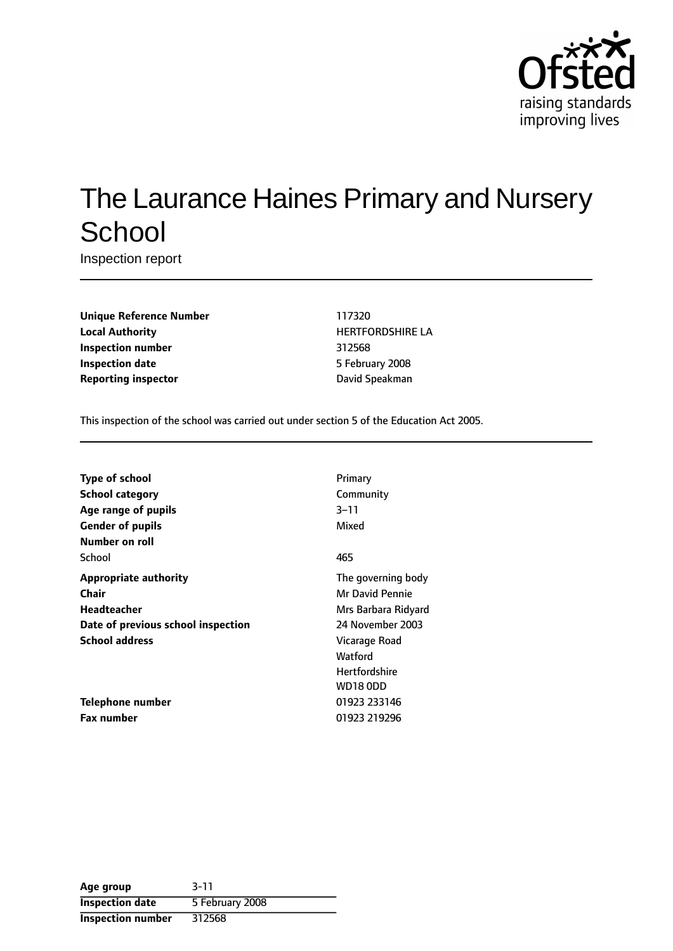

# The Laurance Haines Primary and Nursery **School**

Inspection report

**Unique Reference Number** 117320 **Local Authority HERTFORDSHIRE LA Inspection number** 312568 **Inspection date** 5 February 2008 **Reporting inspector Contract Contract Contract Contract Contract Contract Contract Contract Contract Contract Contract Contract Contract Contract Contract Contract Contract Contract Contract Contract Contract Contract C** 

This inspection of the school was carried out under section 5 of the Education Act 2005.

| Type of school                     | Primary              |
|------------------------------------|----------------------|
| <b>School category</b>             | Community            |
| Age range of pupils                | $3 - 11$             |
| <b>Gender of pupils</b>            | Mixed                |
| Number on roll                     |                      |
| School                             | 465                  |
| <b>Appropriate authority</b>       | The governing body   |
| Chair                              | Mr David Pennie      |
| <b>Headteacher</b>                 | Mrs Barbara Ridyard  |
| Date of previous school inspection | 24 November 2003     |
| <b>School address</b>              | Vicarage Road        |
|                                    | Watford              |
|                                    | <b>Hertfordshire</b> |
|                                    | <b>WD18 ODD</b>      |
| Telephone number                   | 01923 233146         |
| <b>Fax number</b>                  | 01923 219296         |

| Age group              | $3 - 11$        |
|------------------------|-----------------|
| <b>Inspection date</b> | 5 February 2008 |
| Inspection number      | 312568          |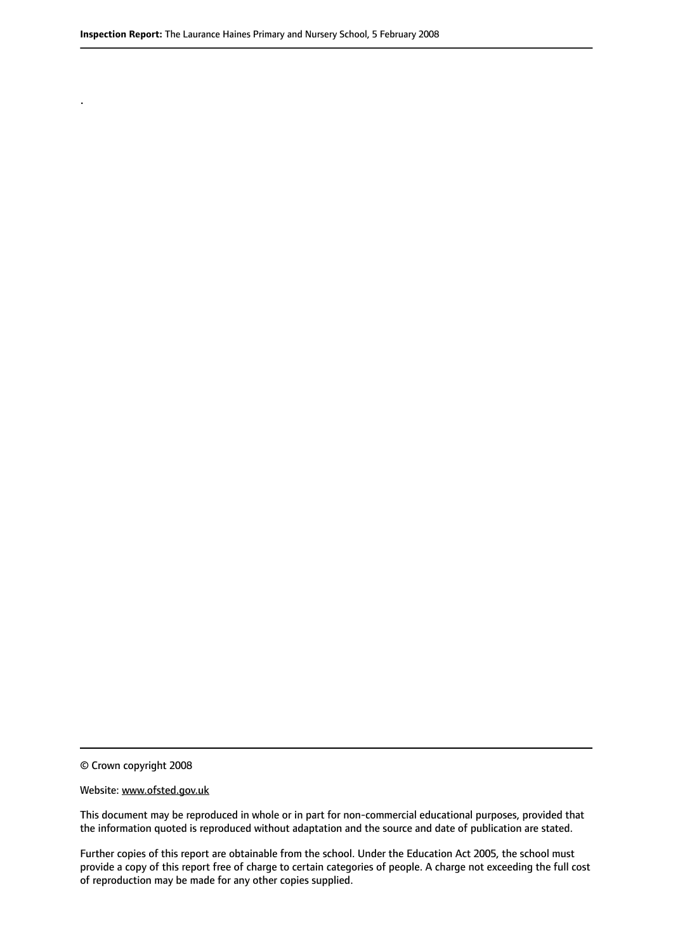© Crown copyright 2008

.

#### Website: www.ofsted.gov.uk

This document may be reproduced in whole or in part for non-commercial educational purposes, provided that the information quoted is reproduced without adaptation and the source and date of publication are stated.

Further copies of this report are obtainable from the school. Under the Education Act 2005, the school must provide a copy of this report free of charge to certain categories of people. A charge not exceeding the full cost of reproduction may be made for any other copies supplied.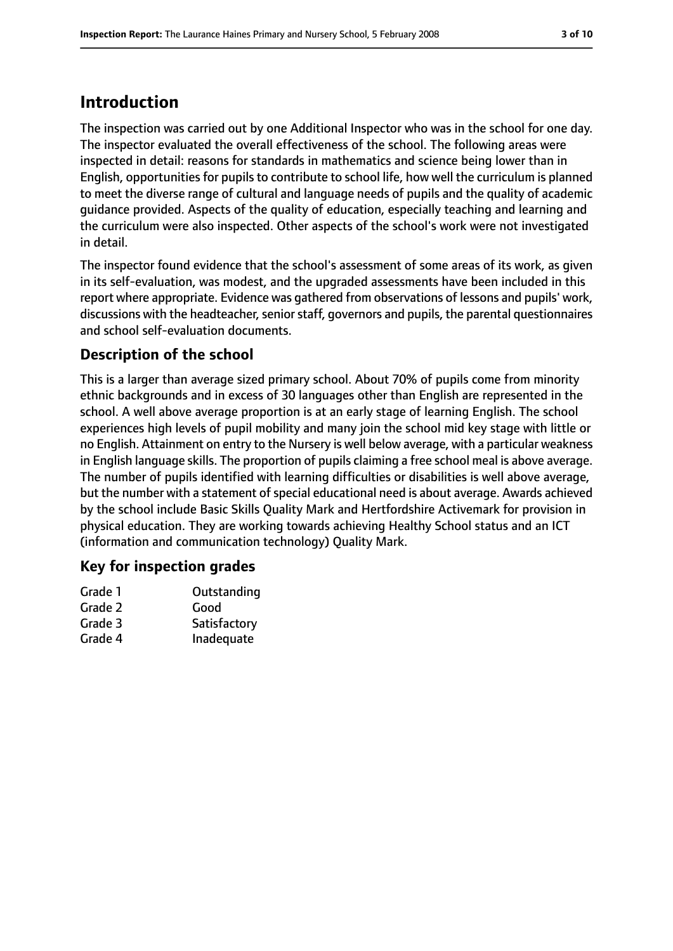# **Introduction**

The inspection was carried out by one Additional Inspector who was in the school for one day. The inspector evaluated the overall effectiveness of the school. The following areas were inspected in detail: reasons for standards in mathematics and science being lower than in English, opportunities for pupils to contribute to school life, how well the curriculum is planned to meet the diverse range of cultural and language needs of pupils and the quality of academic guidance provided. Aspects of the quality of education, especially teaching and learning and the curriculum were also inspected. Other aspects of the school's work were not investigated in detail.

The inspector found evidence that the school's assessment of some areas of its work, as given in its self-evaluation, was modest, and the upgraded assessments have been included in this report where appropriate. Evidence was gathered from observations of lessons and pupils' work, discussions with the headteacher, senior staff, governors and pupils, the parental questionnaires and school self-evaluation documents.

# **Description of the school**

This is a larger than average sized primary school. About 70% of pupils come from minority ethnic backgrounds and in excess of 30 languages other than English are represented in the school. A well above average proportion is at an early stage of learning English. The school experiences high levels of pupil mobility and many join the school mid key stage with little or no English. Attainment on entry to the Nursery is well below average, with a particular weakness in English language skills. The proportion of pupils claiming a free school meal is above average. The number of pupils identified with learning difficulties or disabilities is well above average, but the number with a statement of special educational need is about average. Awards achieved by the school include Basic Skills Quality Mark and Hertfordshire Activemark for provision in physical education. They are working towards achieving Healthy School status and an ICT (information and communication technology) Quality Mark.

## **Key for inspection grades**

| Grade 1 | Outstanding  |
|---------|--------------|
| Grade 2 | Good         |
| Grade 3 | Satisfactory |
| Grade 4 | Inadequate   |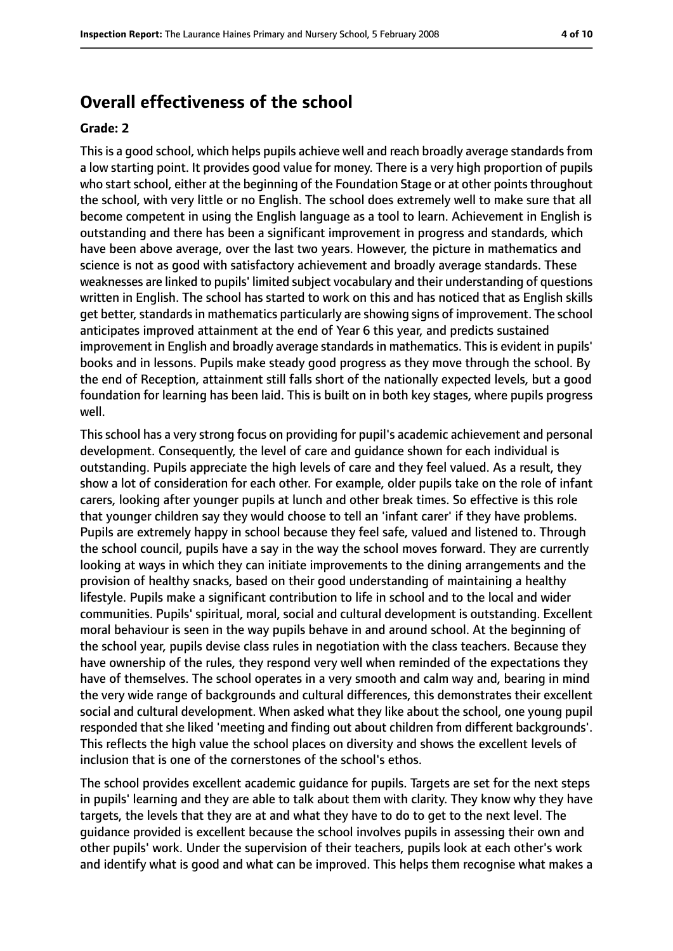# **Overall effectiveness of the school**

#### **Grade: 2**

Thisis a good school, which helps pupils achieve well and reach broadly average standardsfrom a low starting point. It provides good value for money. There is a very high proportion of pupils who start school, either at the beginning of the Foundation Stage or at other points throughout the school, with very little or no English. The school does extremely well to make sure that all become competent in using the English language as a tool to learn. Achievement in English is outstanding and there has been a significant improvement in progress and standards, which have been above average, over the last two years. However, the picture in mathematics and science is not as good with satisfactory achievement and broadly average standards. These weaknesses are linked to pupils' limited subject vocabulary and their understanding of questions written in English. The school has started to work on this and has noticed that as English skills get better, standards in mathematics particularly are showing signs of improvement. The school anticipates improved attainment at the end of Year 6 this year, and predicts sustained improvement in English and broadly average standards in mathematics. This is evident in pupils' books and in lessons. Pupils make steady good progress as they move through the school. By the end of Reception, attainment still falls short of the nationally expected levels, but a good foundation for learning has been laid. This is built on in both key stages, where pupils progress well.

This school has a very strong focus on providing for pupil's academic achievement and personal development. Consequently, the level of care and guidance shown for each individual is outstanding. Pupils appreciate the high levels of care and they feel valued. As a result, they show a lot of consideration for each other. For example, older pupils take on the role of infant carers, looking after younger pupils at lunch and other break times. So effective is this role that younger children say they would choose to tell an 'infant carer' if they have problems. Pupils are extremely happy in school because they feel safe, valued and listened to. Through the school council, pupils have a say in the way the school moves forward. They are currently looking at ways in which they can initiate improvements to the dining arrangements and the provision of healthy snacks, based on their good understanding of maintaining a healthy lifestyle. Pupils make a significant contribution to life in school and to the local and wider communities. Pupils' spiritual, moral, social and cultural development is outstanding. Excellent moral behaviour is seen in the way pupils behave in and around school. At the beginning of the school year, pupils devise class rules in negotiation with the class teachers. Because they have ownership of the rules, they respond very well when reminded of the expectations they have of themselves. The school operates in a very smooth and calm way and, bearing in mind the very wide range of backgrounds and cultural differences, this demonstrates their excellent social and cultural development. When asked what they like about the school, one young pupil responded that she liked 'meeting and finding out about children from different backgrounds'. This reflects the high value the school places on diversity and shows the excellent levels of inclusion that is one of the cornerstones of the school's ethos.

The school provides excellent academic guidance for pupils. Targets are set for the next steps in pupils' learning and they are able to talk about them with clarity. They know why they have targets, the levels that they are at and what they have to do to get to the next level. The guidance provided is excellent because the school involves pupils in assessing their own and other pupils' work. Under the supervision of their teachers, pupils look at each other's work and identify what is good and what can be improved. This helps them recognise what makes a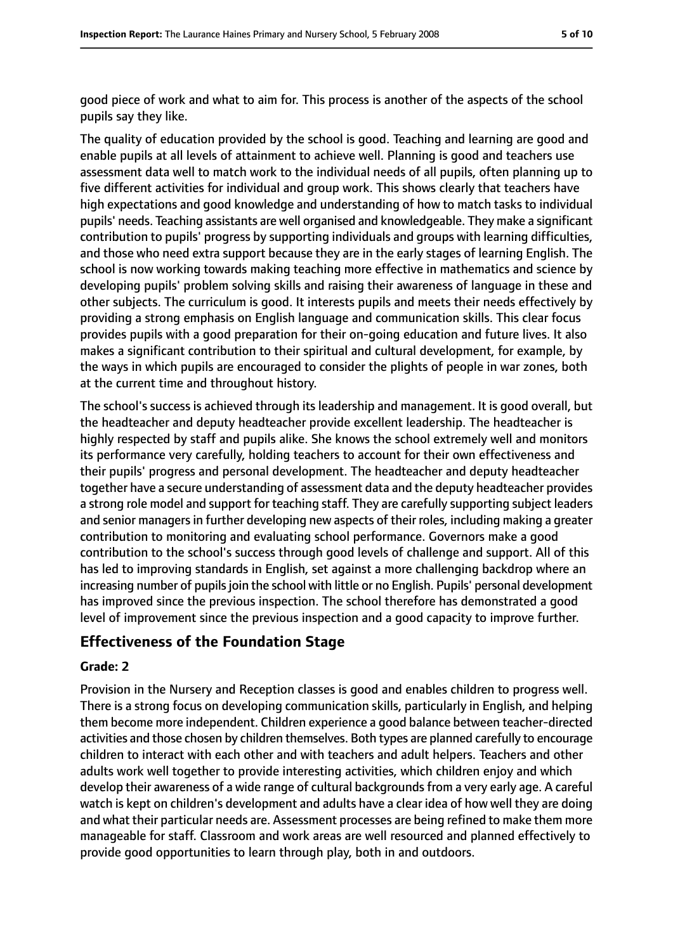good piece of work and what to aim for. This process is another of the aspects of the school pupils say they like.

The quality of education provided by the school is good. Teaching and learning are good and enable pupils at all levels of attainment to achieve well. Planning is good and teachers use assessment data well to match work to the individual needs of all pupils, often planning up to five different activities for individual and group work. This shows clearly that teachers have high expectations and good knowledge and understanding of how to match tasks to individual pupils' needs. Teaching assistants are well organised and knowledgeable. They make a significant contribution to pupils' progress by supporting individuals and groups with learning difficulties, and those who need extra support because they are in the early stages of learning English. The school is now working towards making teaching more effective in mathematics and science by developing pupils' problem solving skills and raising their awareness of language in these and other subjects. The curriculum is good. It interests pupils and meets their needs effectively by providing a strong emphasis on English language and communication skills. This clear focus provides pupils with a good preparation for their on-going education and future lives. It also makes a significant contribution to their spiritual and cultural development, for example, by the ways in which pupils are encouraged to consider the plights of people in war zones, both at the current time and throughout history.

The school's success is achieved through its leadership and management. It is good overall, but the headteacher and deputy headteacher provide excellent leadership. The headteacher is highly respected by staff and pupils alike. She knows the school extremely well and monitors its performance very carefully, holding teachers to account for their own effectiveness and their pupils' progress and personal development. The headteacher and deputy headteacher together have a secure understanding of assessment data and the deputy headteacher provides a strong role model and support for teaching staff. They are carefully supporting subject leaders and senior managers in further developing new aspects of their roles, including making a greater contribution to monitoring and evaluating school performance. Governors make a good contribution to the school's success through good levels of challenge and support. All of this has led to improving standards in English, set against a more challenging backdrop where an increasing number of pupils join the school with little or no English. Pupils' personal development has improved since the previous inspection. The school therefore has demonstrated a good level of improvement since the previous inspection and a good capacity to improve further.

## **Effectiveness of the Foundation Stage**

### **Grade: 2**

Provision in the Nursery and Reception classes is good and enables children to progress well. There is a strong focus on developing communication skills, particularly in English, and helping them become more independent. Children experience a good balance between teacher-directed activities and those chosen by children themselves. Both types are planned carefully to encourage children to interact with each other and with teachers and adult helpers. Teachers and other adults work well together to provide interesting activities, which children enjoy and which develop their awareness of a wide range of cultural backgrounds from a very early age. A careful watch is kept on children's development and adults have a clear idea of how well they are doing and what their particular needs are. Assessment processes are being refined to make them more manageable for staff. Classroom and work areas are well resourced and planned effectively to provide good opportunities to learn through play, both in and outdoors.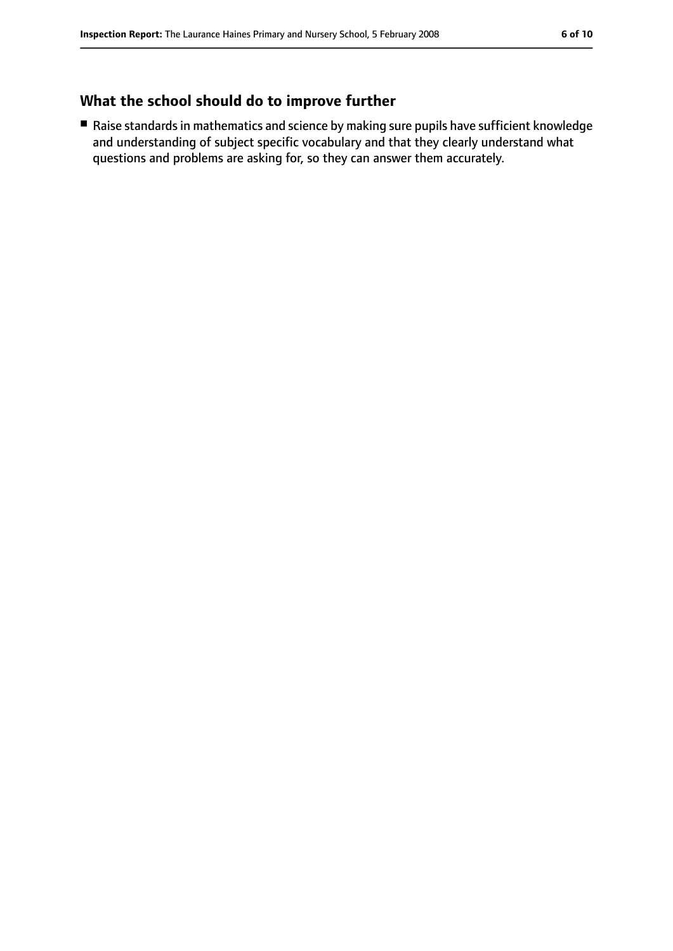# **What the school should do to improve further**

■ Raise standards in mathematics and science by making sure pupils have sufficient knowledge and understanding of subject specific vocabulary and that they clearly understand what questions and problems are asking for, so they can answer them accurately.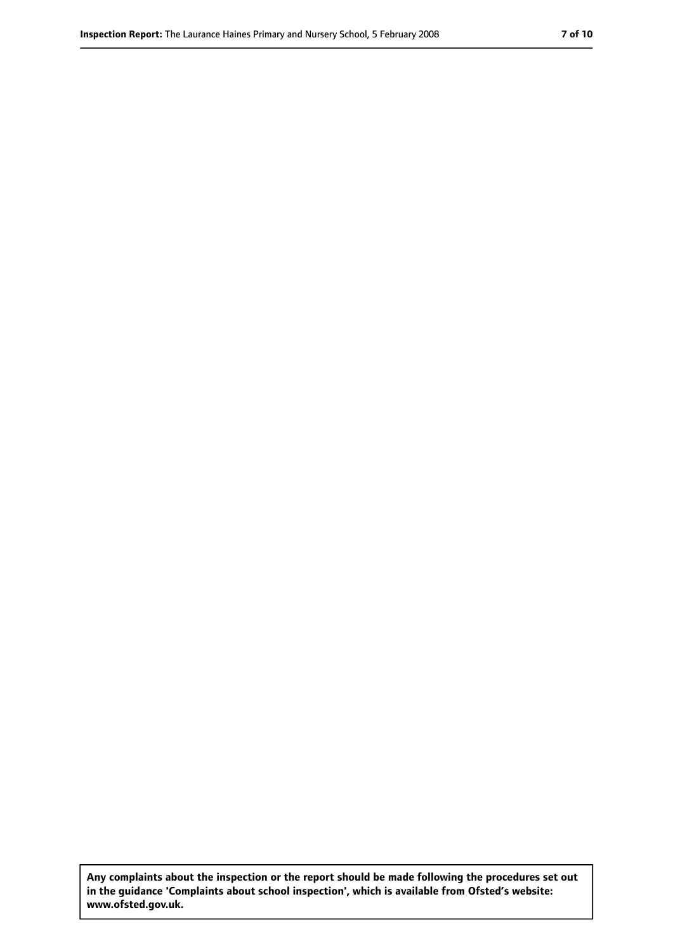**Any complaints about the inspection or the report should be made following the procedures set out in the guidance 'Complaints about school inspection', which is available from Ofsted's website: www.ofsted.gov.uk.**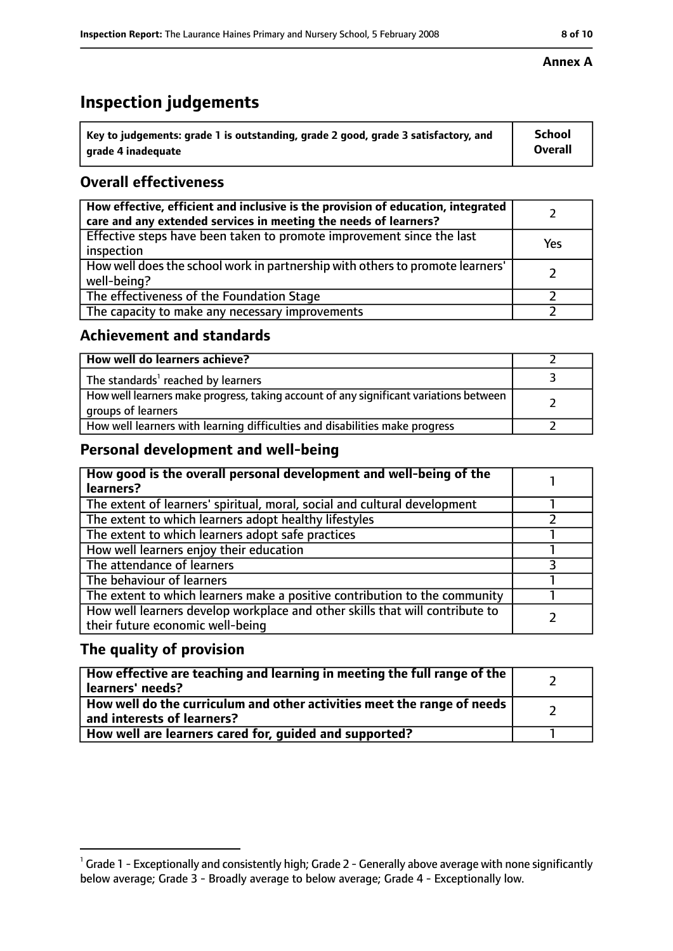# **Inspection judgements**

| $^{\backprime}$ Key to judgements: grade 1 is outstanding, grade 2 good, grade 3 satisfactory, and | <b>School</b>  |
|----------------------------------------------------------------------------------------------------|----------------|
| arade 4 inadeguate                                                                                 | <b>Overall</b> |

# **Overall effectiveness**

| How effective, efficient and inclusive is the provision of education, integrated<br>care and any extended services in meeting the needs of learners? |     |
|------------------------------------------------------------------------------------------------------------------------------------------------------|-----|
| Effective steps have been taken to promote improvement since the last<br>inspection                                                                  | Yes |
| How well does the school work in partnership with others to promote learners'<br>well-being?                                                         |     |
| The effectiveness of the Foundation Stage                                                                                                            |     |
| The capacity to make any necessary improvements                                                                                                      |     |

# **Achievement and standards**

| How well do learners achieve?                                                                               |  |
|-------------------------------------------------------------------------------------------------------------|--|
| The standards <sup>1</sup> reached by learners                                                              |  |
| How well learners make progress, taking account of any significant variations between<br>groups of learners |  |
| How well learners with learning difficulties and disabilities make progress                                 |  |

# **Personal development and well-being**

| How good is the overall personal development and well-being of the<br>learners?                                  |  |
|------------------------------------------------------------------------------------------------------------------|--|
| The extent of learners' spiritual, moral, social and cultural development                                        |  |
| The extent to which learners adopt healthy lifestyles                                                            |  |
| The extent to which learners adopt safe practices                                                                |  |
| How well learners enjoy their education                                                                          |  |
| The attendance of learners                                                                                       |  |
| The behaviour of learners                                                                                        |  |
| The extent to which learners make a positive contribution to the community                                       |  |
| How well learners develop workplace and other skills that will contribute to<br>their future economic well-being |  |

# **The quality of provision**

| How effective are teaching and learning in meeting the full range of the<br>learners' needs?          |  |
|-------------------------------------------------------------------------------------------------------|--|
| How well do the curriculum and other activities meet the range of needs<br>and interests of learners? |  |
| How well are learners cared for, quided and supported?                                                |  |

### **Annex A**

 $^1$  Grade 1 - Exceptionally and consistently high; Grade 2 - Generally above average with none significantly below average; Grade 3 - Broadly average to below average; Grade 4 - Exceptionally low.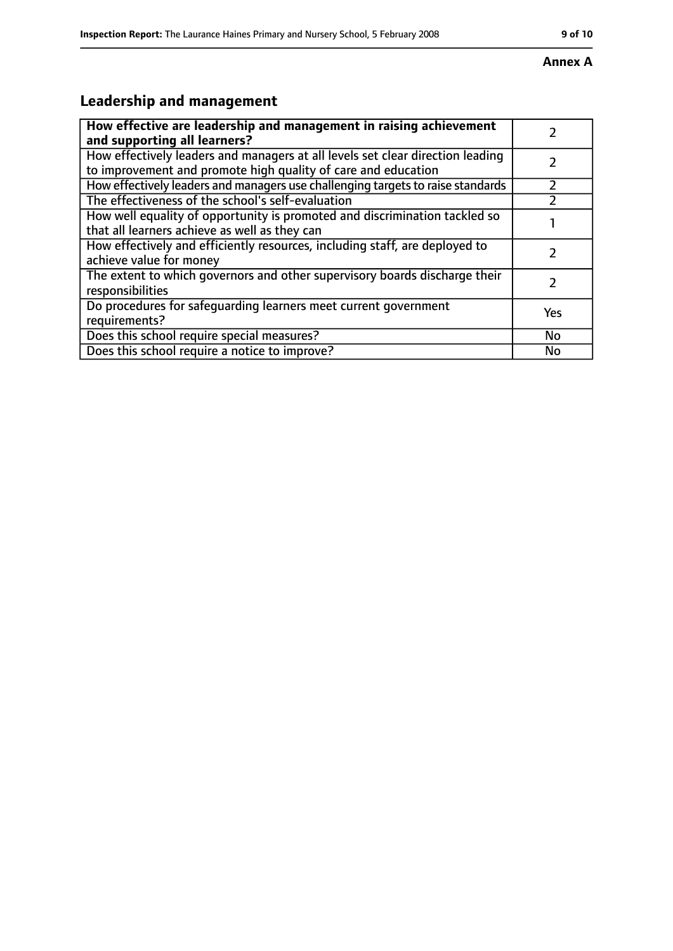# **Leadership and management**

| How effective are leadership and management in raising achievement                                                                              |           |
|-------------------------------------------------------------------------------------------------------------------------------------------------|-----------|
| and supporting all learners?                                                                                                                    |           |
| How effectively leaders and managers at all levels set clear direction leading<br>to improvement and promote high quality of care and education |           |
|                                                                                                                                                 |           |
| How effectively leaders and managers use challenging targets to raise standards                                                                 |           |
| The effectiveness of the school's self-evaluation                                                                                               |           |
| How well equality of opportunity is promoted and discrimination tackled so                                                                      |           |
| that all learners achieve as well as they can                                                                                                   |           |
| How effectively and efficiently resources, including staff, are deployed to                                                                     |           |
| achieve value for money                                                                                                                         |           |
| The extent to which governors and other supervisory boards discharge their                                                                      |           |
| responsibilities                                                                                                                                |           |
| Do procedures for safequarding learners meet current government                                                                                 |           |
| requirements?                                                                                                                                   | Yes       |
| Does this school require special measures?                                                                                                      | <b>No</b> |
| Does this school require a notice to improve?                                                                                                   | No        |